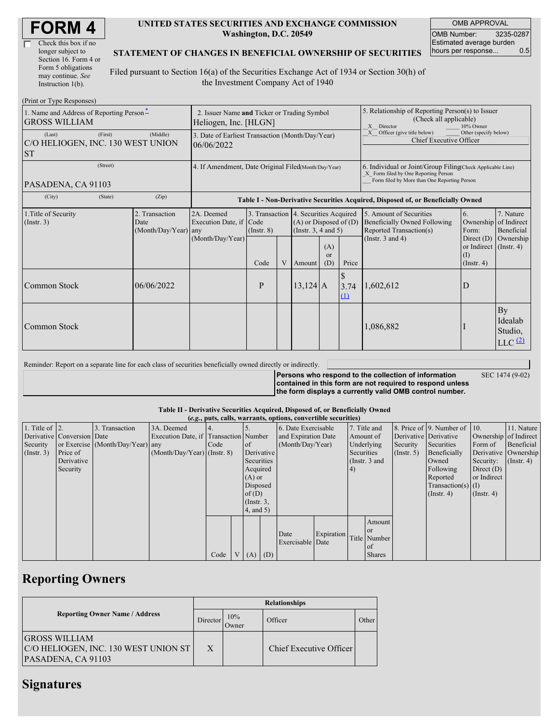| <b>FORM4</b> |
|--------------|
|--------------|

| Check this box if no  |
|-----------------------|
| longer subject to     |
| Section 16. Form 4 or |
| Form 5 obligations    |
| may continue. See     |
| Instruction 1(b).     |

#### **UNITED STATES SECURITIES AND EXCHANGE COMMISSION Washington, D.C. 20549**

OMB APPROVAL OMB Number: 3235-0287 Estimated average burden<br>hours per response... 0.5 hours per response...

#### **STATEMENT OF CHANGES IN BENEFICIAL OWNERSHIP OF SECURITIES**

Filed pursuant to Section 16(a) of the Securities Exchange Act of 1934 or Section 30(h) of the Investment Company Act of 1940

| (Print or Type Responses)                                        |                                                                                                      |                                            |                                                                  |               |   |                                                                                                                                                    |                                                                                |                                   |                                                                                                                    |                                                       |                                                               |
|------------------------------------------------------------------|------------------------------------------------------------------------------------------------------|--------------------------------------------|------------------------------------------------------------------|---------------|---|----------------------------------------------------------------------------------------------------------------------------------------------------|--------------------------------------------------------------------------------|-----------------------------------|--------------------------------------------------------------------------------------------------------------------|-------------------------------------------------------|---------------------------------------------------------------|
| 1. Name and Address of Reporting Person-<br><b>GROSS WILLIAM</b> | 2. Issuer Name and Ticker or Trading Symbol<br>Heliogen, Inc. [HLGN]                                 |                                            |                                                                  |               |   | 5. Relationship of Reporting Person(s) to Issuer<br>(Check all applicable)<br>Director<br>10% Owner<br>X                                           |                                                                                |                                   |                                                                                                                    |                                                       |                                                               |
| (Last)<br>C/O HELIOGEN, INC. 130 WEST UNION<br><b>ST</b>         | 3. Date of Earliest Transaction (Month/Day/Year)<br>06/06/2022                                       |                                            |                                                                  |               |   |                                                                                                                                                    | Other (specify below)<br>Officer (give title below)<br>Chief Executive Officer |                                   |                                                                                                                    |                                                       |                                                               |
| PASADENA, CA 91103                                               | 4. If Amendment, Date Original Filed(Month/Day/Year)                                                 |                                            |                                                                  |               |   | 6. Individual or Joint/Group Filing(Check Applicable Line)<br>X Form filed by One Reporting Person<br>Form filed by More than One Reporting Person |                                                                                |                                   |                                                                                                                    |                                                       |                                                               |
| (City)                                                           | (State)<br>(Zip)<br>Table I - Non-Derivative Securities Acquired, Disposed of, or Beneficially Owned |                                            |                                                                  |               |   |                                                                                                                                                    |                                                                                |                                   |                                                                                                                    |                                                       |                                                               |
| 1. Title of Security<br>(Insert. 3)                              |                                                                                                      | 2. Transaction<br>Date<br>(Month/Day/Year) | 2A. Deemed<br>Execution Date, if Code<br>any<br>(Month/Day/Year) | $($ Instr. 8) |   | 3. Transaction 4. Securities Acquired<br>$(A)$ or Disposed of $(D)$<br>(Instr. $3, 4$ and $5$ )<br>(A)                                             |                                                                                |                                   | 5. Amount of Securities<br><b>Beneficially Owned Following</b><br>Reported Transaction(s)<br>(Instr. $3$ and $4$ ) | 6.<br>Form:<br>Direct $(D)$<br>or Indirect (Instr. 4) | 7. Nature<br>Ownership of Indirect<br>Beneficial<br>Ownership |
|                                                                  |                                                                                                      |                                            |                                                                  | Code          | V | Amount                                                                                                                                             | $\alpha$<br>(D)                                                                | Price                             |                                                                                                                    | (1)<br>$($ Instr. 4 $)$                               |                                                               |
| Common Stock                                                     |                                                                                                      | 06/06/2022                                 |                                                                  | P             |   | $13,124$ A                                                                                                                                         |                                                                                | <sup>\$</sup><br>3.74<br>$\Omega$ | 1,602,612                                                                                                          | D                                                     |                                                               |
| Common Stock                                                     |                                                                                                      |                                            |                                                                  |               |   |                                                                                                                                                    |                                                                                |                                   | 1,086,882                                                                                                          |                                                       | By<br>Idealab<br>Studio,<br>LLC <sup>(2)</sup>                |

| Reminder: Report on a separate line for each class of securities beneficially owned directly or indirectly. |                                                           |                 |
|-------------------------------------------------------------------------------------------------------------|-----------------------------------------------------------|-----------------|
|                                                                                                             | Persons who respond to the collection of information      | SEC 1474 (9-02) |
|                                                                                                             | contained in this form are not required to respond unless |                 |
|                                                                                                             | the form displays a currently valid OMB control number.   |                 |

#### **Table II - Derivative Securities Acquired, Disposed of, or Beneficially Owned**

|                        | (e.g., puts, calls, warrants, options, convertible securities) |                                  |                                       |      |  |                 |                  |                     |                     |                 |               |                       |                          |                       |                      |
|------------------------|----------------------------------------------------------------|----------------------------------|---------------------------------------|------|--|-----------------|------------------|---------------------|---------------------|-----------------|---------------|-----------------------|--------------------------|-----------------------|----------------------|
| 1. Title of $\vert$ 2. |                                                                | 3. Transaction                   | 3A. Deemed                            |      |  |                 |                  | 6. Date Exercisable |                     | 7. Title and    |               |                       | 8. Price of 9. Number of | $\vert$ 10.           | 11. Nature           |
|                        | Derivative Conversion Date                                     |                                  | Execution Date, if Transaction Number |      |  |                 |                  |                     | and Expiration Date |                 | Amount of     | Derivative Derivative |                          | Ownership of Indirect |                      |
| Security               |                                                                | or Exercise (Month/Day/Year) any |                                       | Code |  | of              | (Month/Day/Year) |                     |                     | Underlying      |               | Security              | Securities               | Form of               | Beneficial           |
| $($ Instr. 3 $)$       | Price of                                                       |                                  | $(Month/Day/Year)$ (Instr. 8)         |      |  | Derivative      |                  |                     |                     | Securities      |               | $($ Instr. 5)         | Beneficially             |                       | Derivative Ownership |
|                        | Derivative                                                     |                                  |                                       |      |  | Securities      |                  |                     |                     | (Instr. $3$ and |               |                       | Owned                    | Security:             | $($ Instr. 4)        |
|                        | Security                                                       |                                  |                                       |      |  |                 | Acquired         |                     |                     |                 |               |                       | Following                | Direct $(D)$          |                      |
|                        |                                                                |                                  |                                       |      |  |                 | $(A)$ or         |                     |                     |                 |               |                       | Reported                 | or Indirect           |                      |
|                        |                                                                |                                  |                                       |      |  |                 | Disposed         |                     |                     |                 |               |                       | Transaction(s) $(I)$     |                       |                      |
|                        |                                                                |                                  |                                       |      |  |                 | of $(D)$         |                     |                     |                 |               |                       | $($ Instr. 4 $)$         | $($ Instr. 4)         |                      |
|                        |                                                                |                                  |                                       |      |  | $($ Instr. 3,   |                  |                     |                     |                 |               |                       |                          |                       |                      |
|                        |                                                                |                                  |                                       |      |  | $4$ , and $5$ ) |                  |                     |                     |                 |               |                       |                          |                       |                      |
|                        |                                                                |                                  |                                       |      |  |                 |                  |                     |                     |                 | Amount        |                       |                          |                       |                      |
|                        |                                                                |                                  |                                       |      |  |                 |                  |                     |                     |                 | <b>or</b>     |                       |                          |                       |                      |
|                        |                                                                |                                  |                                       |      |  |                 |                  | Date                | Expiration          |                 | Title Number  |                       |                          |                       |                      |
|                        |                                                                |                                  |                                       |      |  |                 |                  | Exercisable Date    |                     |                 | of            |                       |                          |                       |                      |
|                        |                                                                |                                  |                                       | Code |  | $V(A)$ (D)      |                  |                     |                     |                 | <b>Shares</b> |                       |                          |                       |                      |

# **Reporting Owners**

|                                                                                    | <b>Relationships</b> |              |                         |       |  |  |  |  |  |
|------------------------------------------------------------------------------------|----------------------|--------------|-------------------------|-------|--|--|--|--|--|
| <b>Reporting Owner Name / Address</b>                                              | Director             | 10%<br>Owner | Officer                 | Other |  |  |  |  |  |
| <b>GROSS WILLIAM</b><br>C/O HELIOGEN, INC. 130 WEST UNION ST<br>PASADENA, CA 91103 | X                    |              | Chief Executive Officer |       |  |  |  |  |  |

# **Signatures**